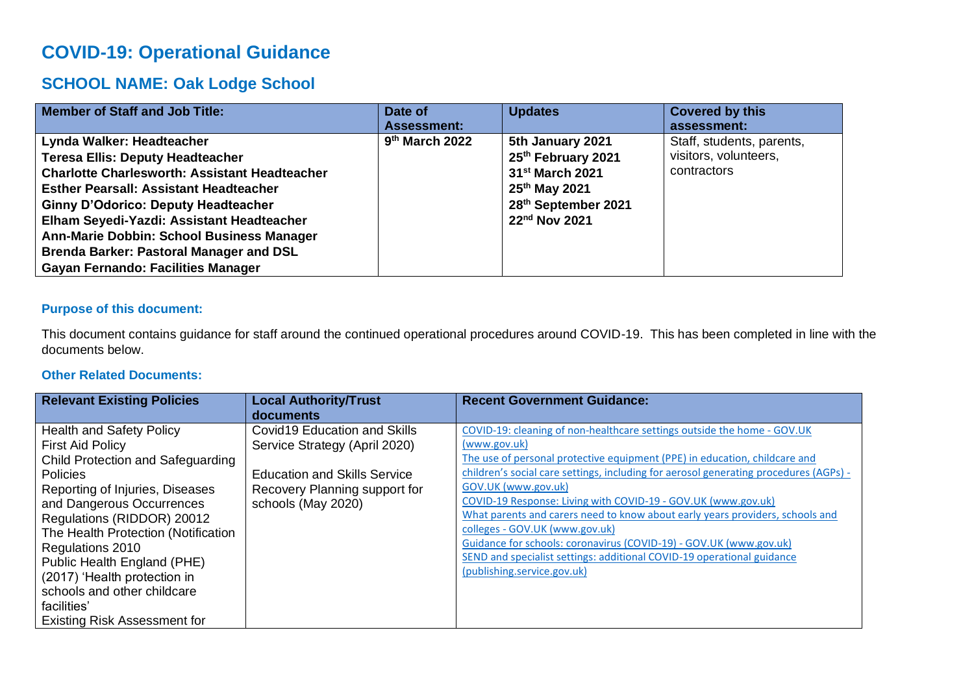# **COVID-19: Operational Guidance**

# **SCHOOL NAME: Oak Lodge School**

| <b>Member of Staff and Job Title:</b>                                                                                                                                                                                                                                                                                                                                                                                | Date of<br><b>Assessment:</b> | <b>Updates</b>                                                                                                                             | <b>Covered by this</b><br>assessment:                             |
|----------------------------------------------------------------------------------------------------------------------------------------------------------------------------------------------------------------------------------------------------------------------------------------------------------------------------------------------------------------------------------------------------------------------|-------------------------------|--------------------------------------------------------------------------------------------------------------------------------------------|-------------------------------------------------------------------|
| Lynda Walker: Headteacher<br><b>Teresa Ellis: Deputy Headteacher</b><br><b>Charlotte Charlesworth: Assistant Headteacher</b><br><b>Esther Pearsall: Assistant Headteacher</b><br><b>Ginny D'Odorico: Deputy Headteacher</b><br>Elham Seyedi-Yazdi: Assistant Headteacher<br>Ann-Marie Dobbin: School Business Manager<br><b>Brenda Barker: Pastoral Manager and DSL</b><br><b>Gayan Fernando: Facilities Manager</b> | 9 <sup>th</sup> March 2022    | 5th January 2021<br>25th February 2021<br>31 <sup>st</sup> March 2021<br>25 <sup>th</sup> May 2021<br>28th September 2021<br>22nd Nov 2021 | Staff, students, parents,<br>visitors, volunteers,<br>contractors |

## **Purpose of this document:**

This document contains guidance for staff around the continued operational procedures around COVID-19. This has been completed in line with the documents below.

## **Other Related Documents:**

| <b>Relevant Existing Policies</b>   | <b>Local Authority/Trust</b>        | <b>Recent Government Guidance:</b>                                                    |
|-------------------------------------|-------------------------------------|---------------------------------------------------------------------------------------|
|                                     | documents                           |                                                                                       |
| <b>Health and Safety Policy</b>     | Covid19 Education and Skills        | COVID-19: cleaning of non-healthcare settings outside the home - GOV.UK               |
| <b>First Aid Policy</b>             | Service Strategy (April 2020)       | (www.gov.uk)                                                                          |
| Child Protection and Safeguarding   |                                     | The use of personal protective equipment (PPE) in education, childcare and            |
| <b>Policies</b>                     | <b>Education and Skills Service</b> | children's social care settings, including for aerosol generating procedures (AGPs) - |
| Reporting of Injuries, Diseases     | Recovery Planning support for       | GOV.UK (www.gov.uk)                                                                   |
| and Dangerous Occurrences           | schools (May 2020)                  | COVID-19 Response: Living with COVID-19 - GOV.UK (www.gov.uk)                         |
| Regulations (RIDDOR) 20012          |                                     | What parents and carers need to know about early years providers, schools and         |
| The Health Protection (Notification |                                     | colleges - GOV.UK (www.gov.uk)                                                        |
| Regulations 2010                    |                                     | Guidance for schools: coronavirus (COVID-19) - GOV.UK (www.gov.uk)                    |
| Public Health England (PHE)         |                                     | SEND and specialist settings: additional COVID-19 operational guidance                |
| (2017) 'Health protection in        |                                     | (publishing.service.gov.uk)                                                           |
| schools and other childcare         |                                     |                                                                                       |
| facilities'                         |                                     |                                                                                       |
| <b>Existing Risk Assessment for</b> |                                     |                                                                                       |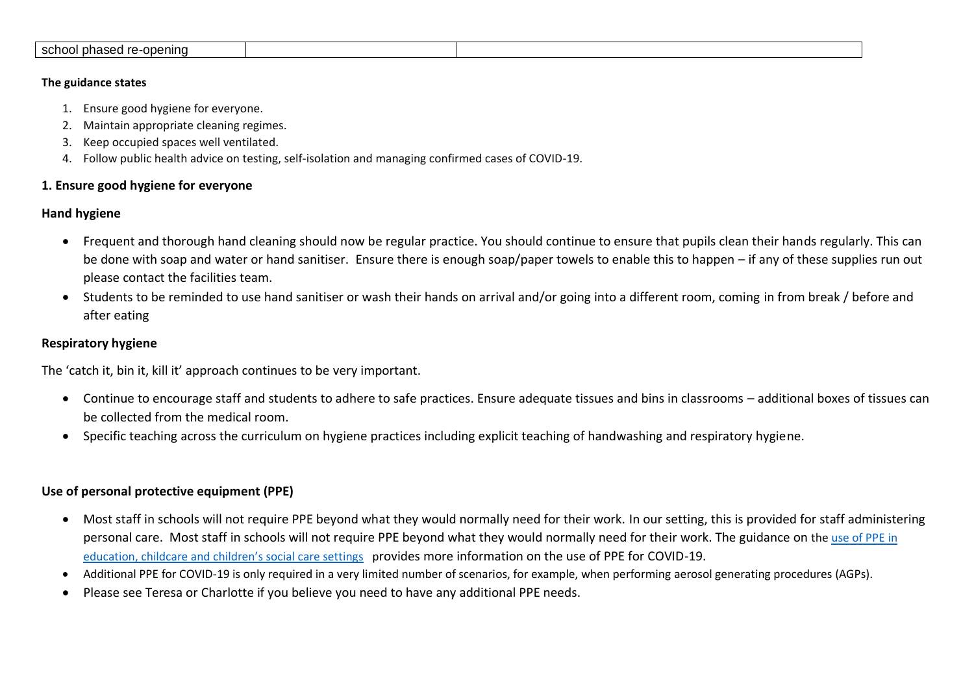| school pha<br>-openina<br>rc<br>3000<br>ascu Ic |  |
|-------------------------------------------------|--|
|                                                 |  |

#### **The guidance states**

- 1. Ensure good hygiene for everyone.
- 2. Maintain appropriate cleaning regimes.
- 3. Keep occupied spaces well ventilated.
- 4. Follow public health advice on testing, self-isolation and managing confirmed cases of COVID-19.

# **1. Ensure good hygiene for everyone**

# **Hand hygiene**

- Frequent and thorough hand cleaning should now be regular practice. You should continue to ensure that pupils clean their hands regularly. This can be done with soap and water or hand sanitiser. Ensure there is enough soap/paper towels to enable this to happen – if any of these supplies run out please contact the facilities team.
- Students to be reminded to use hand sanitiser or wash their hands on arrival and/or going into a different room, coming in from break / before and after eating

# **Respiratory hygiene**

The 'catch it, bin it, kill it' approach continues to be very important.

- Continue to encourage staff and students to adhere to safe practices. Ensure adequate tissues and bins in classrooms additional boxes of tissues can be collected from the medical room.
- Specific teaching across the curriculum on hygiene practices including explicit teaching of handwashing and respiratory hygiene.

# **Use of personal protective equipment (PPE)**

- Most staff in schools will not require PPE beyond what they would normally need for their work. In our setting, this is provided for staff administering personal care. Most staff in schools will not require PPE beyond what they would normally need for their work. The guidance on the use of PPE in [education, childcare and children's social care settings](https://www.gov.uk/government/publications/safe-working-in-education-childcare-and-childrens-social-care) provides more information on the use of PPE for COVID-19.
- Additional PPE for COVID-19 is only required in a very limited number of scenarios, for example, when performing aerosol generating procedures (AGPs).
- Please see Teresa or Charlotte if you believe you need to have any additional PPE needs.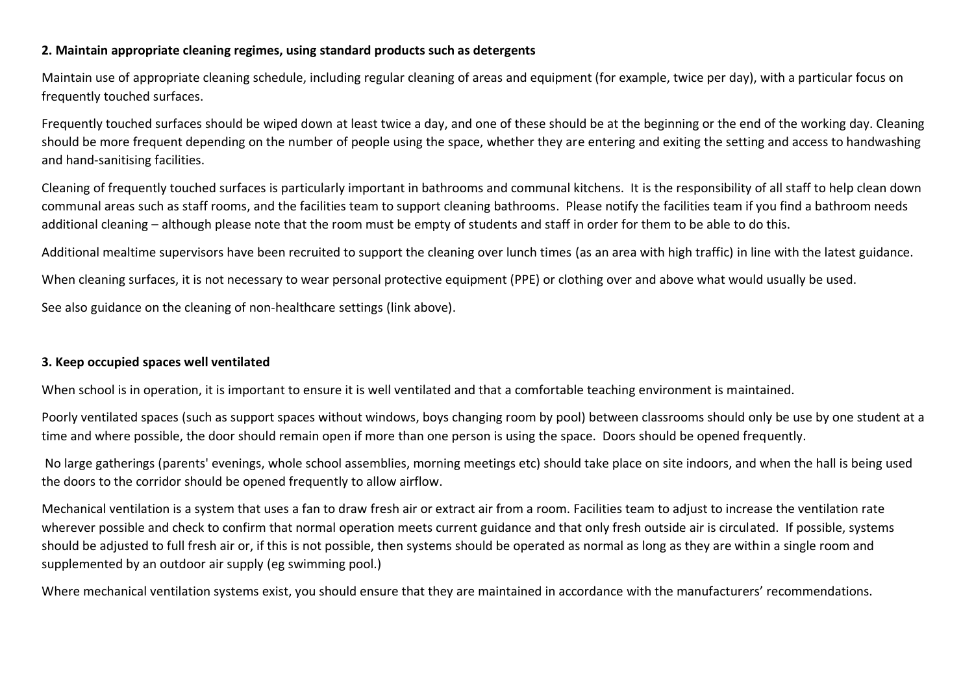## **2. Maintain appropriate cleaning regimes, using standard products such as detergents**

Maintain use of appropriate cleaning schedule, including regular cleaning of areas and equipment (for example, twice per day), with a particular focus on frequently touched surfaces.

Frequently touched surfaces should be wiped down at least twice a day, and one of these should be at the beginning or the end of the working day. Cleaning should be more frequent depending on the number of people using the space, whether they are entering and exiting the setting and access to handwashing and hand-sanitising facilities.

Cleaning of frequently touched surfaces is particularly important in bathrooms and communal kitchens. It is the responsibility of all staff to help clean down communal areas such as staff rooms, and the facilities team to support cleaning bathrooms. Please notify the facilities team if you find a bathroom needs additional cleaning – although please note that the room must be empty of students and staff in order for them to be able to do this.

Additional mealtime supervisors have been recruited to support the cleaning over lunch times (as an area with high traffic) in line with the latest guidance.

When cleaning surfaces, it is not necessary to wear personal protective equipment (PPE) or clothing over and above what would usually be used.

See also guidance on the cleaning of non-healthcare settings (link above).

# **3. Keep occupied spaces well ventilated**

When school is in operation, it is important to ensure it is well ventilated and that a comfortable teaching environment is maintained.

Poorly ventilated spaces (such as support spaces without windows, boys changing room by pool) between classrooms should only be use by one student at a time and where possible, the door should remain open if more than one person is using the space. Doors should be opened frequently.

No large gatherings (parents' evenings, whole school assemblies, morning meetings etc) should take place on site indoors, and when the hall is being used the doors to the corridor should be opened frequently to allow airflow.

Mechanical ventilation is a system that uses a fan to draw fresh air or extract air from a room. Facilities team to adjust to increase the ventilation rate wherever possible and check to confirm that normal operation meets current guidance and that only fresh outside air is circulated. If possible, systems should be adjusted to full fresh air or, if this is not possible, then systems should be operated as normal as long as they are within a single room and supplemented by an outdoor air supply (eg swimming pool.)

Where mechanical ventilation systems exist, you should ensure that they are maintained in accordance with the manufacturers' recommendations.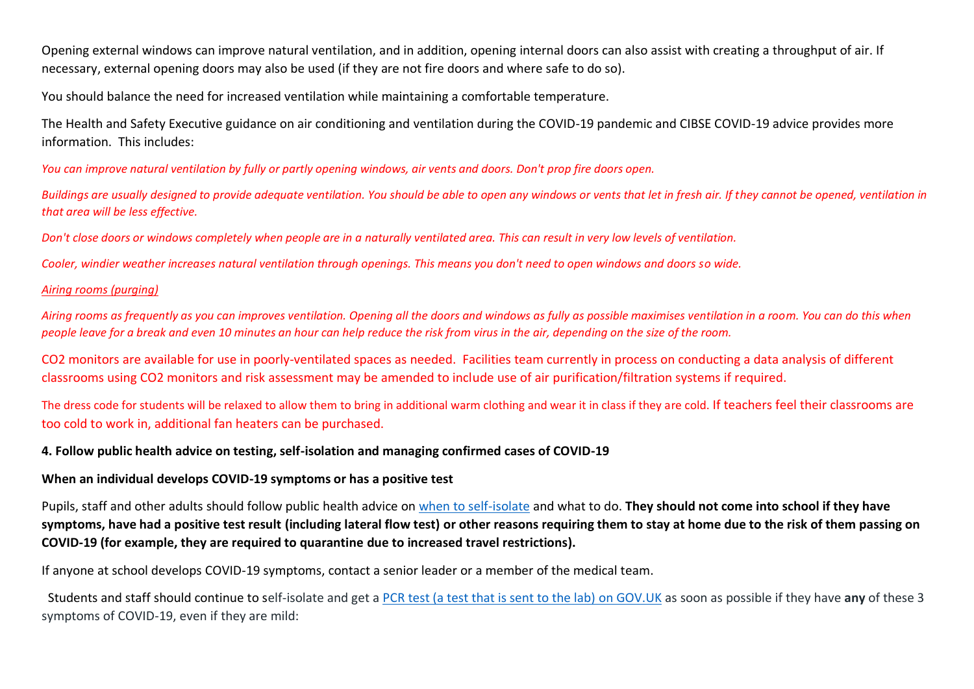Opening external windows can improve natural ventilation, and in addition, opening internal doors can also assist with creating a throughput of air. If necessary, external opening doors may also be used (if they are not fire doors and where safe to do so).

You should balance the need for increased ventilation while maintaining a comfortable temperature.

The Health and Safety Executive guidance on air conditioning and ventilation during the COVID-19 pandemic and CIBSE COVID-19 advice provides more information. This includes:

*You can improve natural ventilation by fully or partly opening windows, air vents and doors. Don't prop fire doors open.*

*Buildings are usually designed to provide adequate ventilation. You should be able to open any windows or vents that let in fresh air. If they cannot be opened, ventilation in that area will be less effective.*

*Don't close doors or windows completely when people are in a naturally ventilated area. This can result in very low levels of ventilation.*

*Cooler, windier weather increases natural ventilation through openings. This means you don't need to open windows and doors so wide.* 

## *Airing rooms (purging)*

*Airing rooms as frequently as you can improves ventilation. Opening all the doors and windows as fully as possible maximises ventilation in a room. You can do this when people leave for a break and even 10 minutes an hour can help reduce the risk from virus in the air, depending on the size of the room.*

CO2 monitors are available for use in poorly-ventilated spaces as needed. Facilities team currently in process on conducting a data analysis of different classrooms using CO2 monitors and risk assessment may be amended to include use of air purification/filtration systems if required.

The dress code for students will be relaxed to allow them to bring in additional warm clothing and wear it in class if they are cold. If teachers feel their classrooms are too cold to work in, additional fan heaters can be purchased.

# **4. Follow public health advice on testing, self-isolation and managing confirmed cases of COVID-19**

## **When an individual develops COVID-19 symptoms or has a positive test**

Pupils, staff and other adults should follow public health advice on [when to self-isolate](https://www.nhs.uk/conditions/coronavirus-covid-19/self-isolation-and-treatment/when-to-self-isolate-and-what-to-do/) and what to do. **They should not come into school if they have symptoms, have had a positive test result (including lateral flow test) or other reasons requiring them to stay at home due to the risk of them passing on COVID-19 (for example, they are required to quarantine due to increased travel restrictions).**

If anyone at school develops COVID-19 symptoms, contact a senior leader or a member of the medical team.

 Students and staff should continue to self-isolate and get [a PCR test \(a test that is sent to the lab\)](https://www.gov.uk/get-coronavirus-test) on GOV.UK as soon as possible if they have **any** of these 3 symptoms of COVID-19, even if they are mild: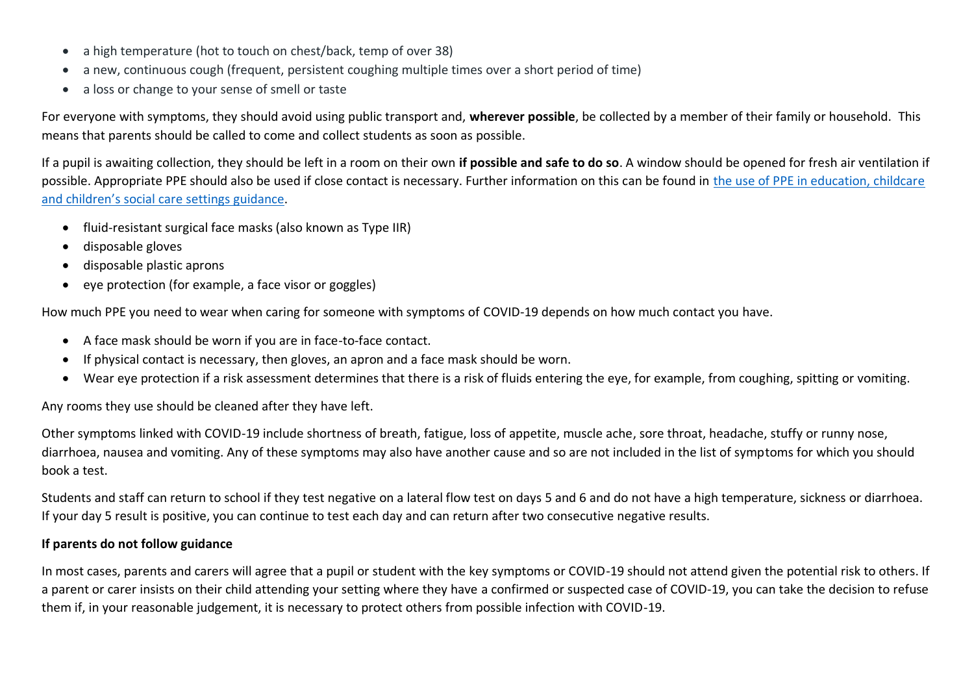- a high temperature (hot to touch on chest/back, temp of over 38)
- a new, continuous cough (frequent, persistent coughing multiple times over a short period of time)
- a loss or change to your sense of smell or taste

For everyone with symptoms, they should avoid using public transport and, **wherever possible**, be collected by a member of their family or household. This means that parents should be called to come and collect students as soon as possible.

If a pupil is awaiting collection, they should be left in a room on their own **if possible and safe to do so**. A window should be opened for fresh air ventilation if possible. Appropriate PPE should also be used if close contact is necessary. Further information on this can be found in [the use of PPE in education, childcare](https://www.gov.uk/government/publications/safe-working-in-education-childcare-and-childrens-social-care/the-use-of-personal-protective-equipment-ppe-in-education-childcare-and-childrens-social-care-settings-including-for-aerosol-generating-procedure)  [and children's social car](https://www.gov.uk/government/publications/safe-working-in-education-childcare-and-childrens-social-care/the-use-of-personal-protective-equipment-ppe-in-education-childcare-and-childrens-social-care-settings-including-for-aerosol-generating-procedure)e settings guidance.

- fluid-resistant surgical face masks (also known as Type IIR)
- disposable gloves
- disposable plastic aprons
- eye protection (for example, a face visor or goggles)

How much PPE you need to wear when caring for someone with symptoms of COVID-19 depends on how much contact you have.

- A face mask should be worn if you are in face-to-face contact.
- If physical contact is necessary, then gloves, an apron and a face mask should be worn.
- Wear eye protection if a risk assessment determines that there is a risk of fluids entering the eye, for example, from coughing, spitting or vomiting.

Any rooms they use should be cleaned after they have left.

Other symptoms linked with COVID-19 include shortness of breath, fatigue, loss of appetite, muscle ache, sore throat, headache, stuffy or runny nose, diarrhoea, nausea and vomiting. Any of these symptoms may also have another cause and so are not included in the list of symptoms for which you should book a test.

Students and staff can return to school if they test negative on a lateral flow test on days 5 and 6 and do not have a high temperature, sickness or diarrhoea. If your day 5 result is positive, you can continue to test each day and can return after two consecutive negative results.

# **If parents do not follow guidance**

In most cases, parents and carers will agree that a pupil or student with the key symptoms or COVID-19 should not attend given the potential risk to others. If a parent or carer insists on their child attending your setting where they have a confirmed or suspected case of COVID-19, you can take the decision to refuse them if, in your reasonable judgement, it is necessary to protect others from possible infection with COVID-19.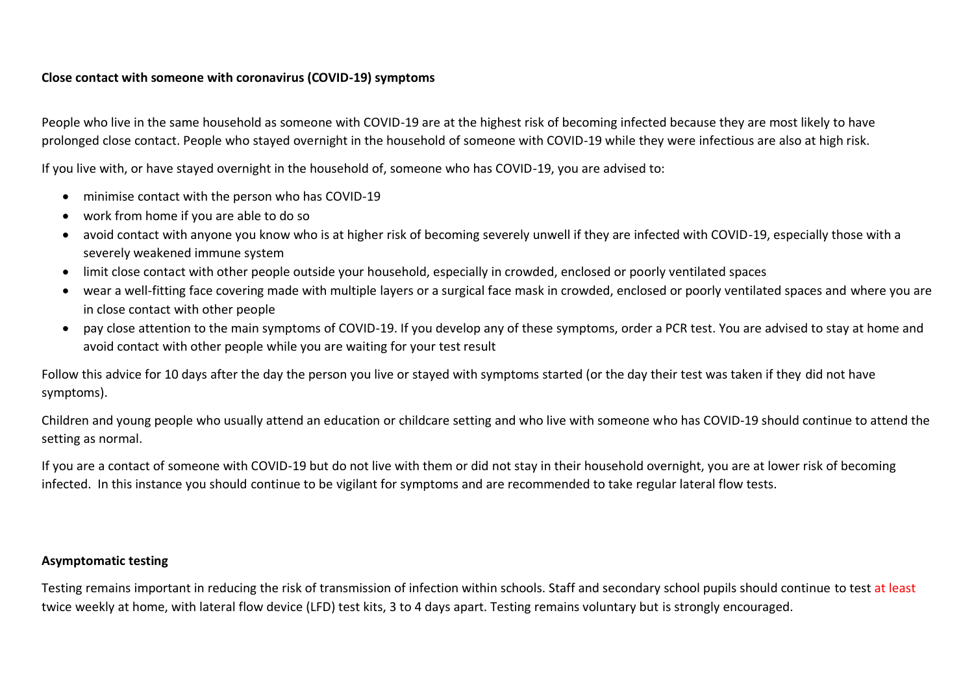#### **Close contact with someone with coronavirus (COVID-19) symptoms**

People who live in the same household as someone with COVID-19 are at the highest risk of becoming infected because they are most likely to have prolonged close contact. People who stayed overnight in the household of someone with COVID-19 while they were infectious are also at high risk.

If you live with, or have stayed overnight in the household of, someone who has COVID-19, you are advised to:

- minimise contact with the person who has COVID-19
- work from home if you are able to do so
- avoid contact with anyone you know who is at higher risk of becoming severely unwell if they are infected with COVID-19, especially those with a severely weakened immune system
- limit close contact with other people outside your household, especially in crowded, enclosed or poorly ventilated spaces
- wear a well-fitting face covering made with multiple layers or a surgical face mask in crowded, enclosed or poorly ventilated spaces and where you are in close contact with other people
- pay close attention to the main symptoms of COVID-19. If you develop any of these symptoms, order a PCR test. You are advised to stay at home and avoid contact with other people while you are waiting for your test result

Follow this advice for 10 days after the day the person you live or stayed with symptoms started (or the day their test was taken if they did not have symptoms).

Children and young people who usually attend an education or childcare setting and who live with someone who has COVID-19 should continue to attend the setting as normal.

If you are a contact of someone with COVID-19 but do not live with them or did not stay in their household overnight, you are at lower risk of becoming infected. In this instance you should continue to be vigilant for symptoms and are recommended to take regular lateral flow tests.

#### **Asymptomatic testing**

Testing remains important in reducing the risk of transmission of infection within schools. Staff and secondary school pupils should continue to test at least twice weekly at home, with lateral flow device (LFD) test kits, 3 to 4 days apart. Testing remains voluntary but is strongly encouraged.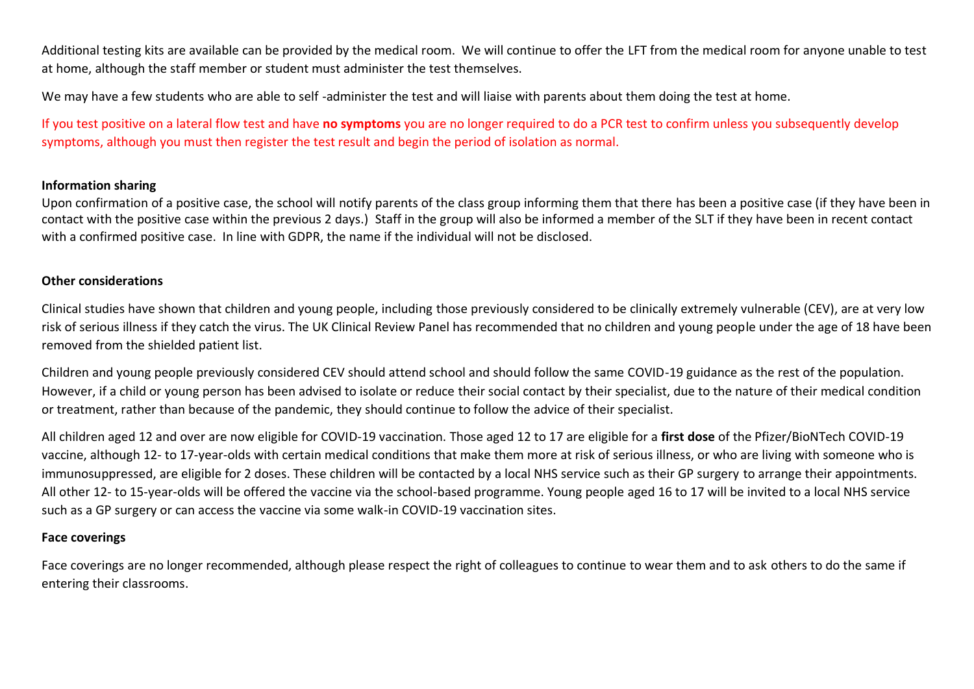Additional testing kits are available can be provided by the medical room. We will continue to offer the LFT from the medical room for anyone unable to test at home, although the staff member or student must administer the test themselves.

We may have a few students who are able to self-administer the test and will liaise with parents about them doing the test at home.

If you test positive on a lateral flow test and have **no symptoms** you are no longer required to do a PCR test to confirm unless you subsequently develop symptoms, although you must then register the test result and begin the period of isolation as normal.

#### **Information sharing**

Upon confirmation of a positive case, the school will notify parents of the class group informing them that there has been a positive case (if they have been in contact with the positive case within the previous 2 days.) Staff in the group will also be informed a member of the SLT if they have been in recent contact with a confirmed positive case. In line with GDPR, the name if the individual will not be disclosed.

#### **Other considerations**

Clinical studies have shown that children and young people, including those previously considered to be clinically extremely vulnerable (CEV), are at very low risk of serious illness if they catch the virus. The UK Clinical Review Panel has recommended that no children and young people under the age of 18 have been removed from the shielded patient list.

Children and young people previously considered CEV should attend school and should follow the same COVID-19 guidance as the rest of the population. However, if a child or young person has been advised to isolate or reduce their social contact by their specialist, due to the nature of their medical condition or treatment, rather than because of the pandemic, they should continue to follow the advice of their specialist.

All children aged 12 and over are now eligible for COVID-19 vaccination. Those aged 12 to 17 are eligible for a **first dose** of the Pfizer/BioNTech COVID-19 vaccine, although 12- to 17-year-olds with certain medical conditions that make them more at risk of serious illness, or who are living with someone who is immunosuppressed, are eligible for 2 doses. These children will be contacted by a local NHS service such as their GP surgery to arrange their appointments. All other 12- to 15-year-olds will be offered the vaccine via the school-based programme. Young people aged 16 to 17 will be invited to a local NHS service such as a GP surgery or can access the vaccine via some walk-in COVID-19 vaccination sites.

#### **Face coverings**

Face coverings are no longer recommended, although please respect the right of colleagues to continue to wear them and to ask others to do the same if entering their classrooms.